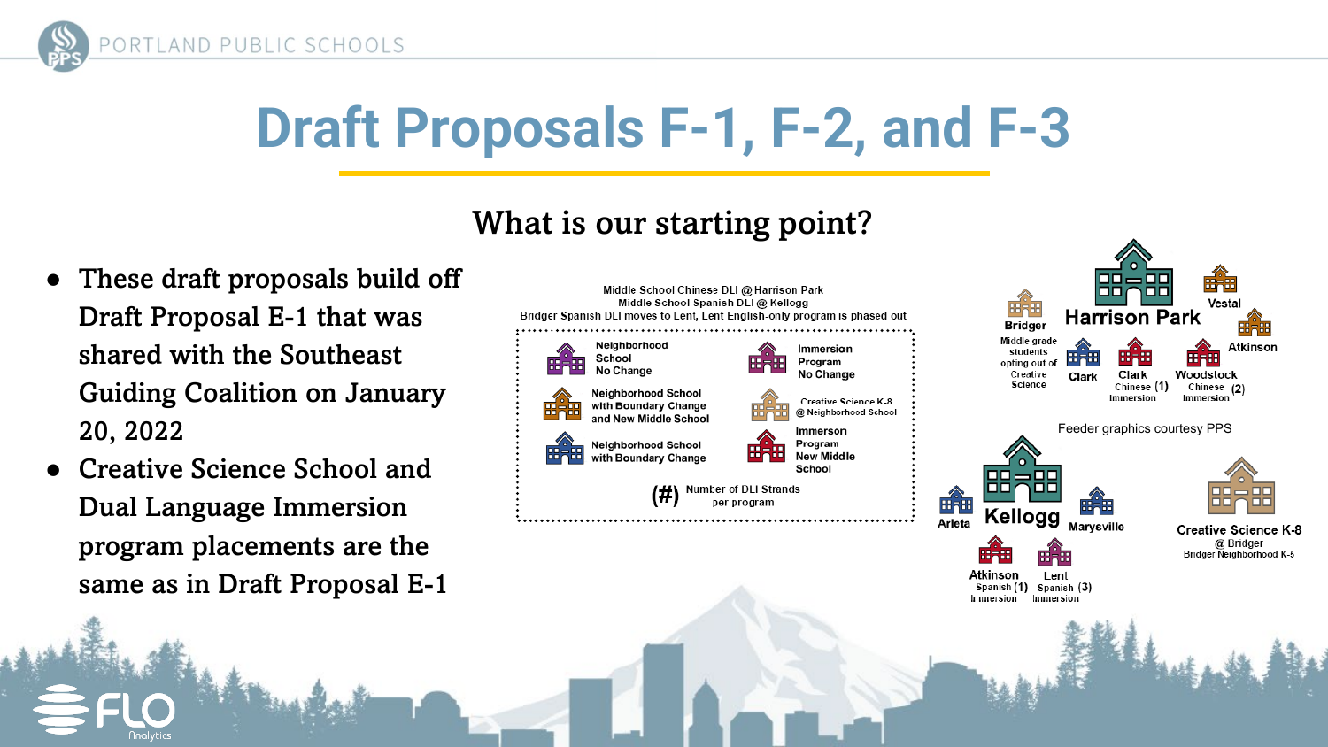

### What is our starting point?

- These draft proposals build off Draft Proposal E-1 that was shared with the Southeast Guiding Coalition on January 20, 2022
- **Creative Science School and** Dual Language Immersion program placements are the same as in Draft Proposal E-1

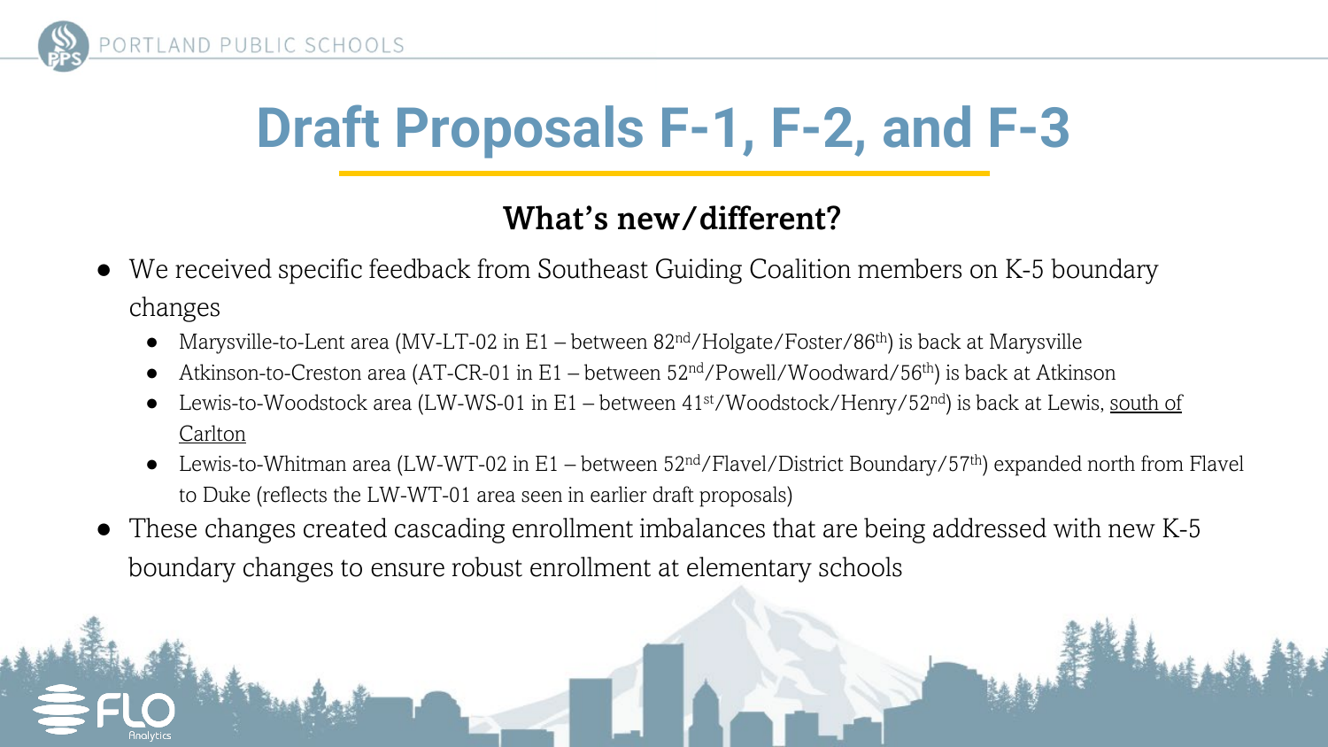

### What's new/different?

- We received specific feedback from Southeast Guiding Coalition members on K-5 boundary changes
	- Marysville-to-Lent area (MV-LT-02 in E1 between  $82<sup>nd</sup>/Holgate/Poster/86<sup>th</sup>$ ) is back at Marysville
	- Atkinson-to-Creston area (AT-CR-01 in E1 between  $52<sup>nd</sup>/Powell/Woodward/56<sup>th</sup>)$  is back at Atkinson
	- Lewis-to-Woodstock area (LW-WS-01 in E1 between 41<sup>st</sup>/Woodstock/Henry/52<sup>nd</sup>) is back at Lewis, south of Carlton
	- Lewis-to-Whitman area (LW-WT-02 in E1 between  $52<sup>nd</sup>/Flavel/District Boundary/57<sup>th</sup>)$  expanded north from Flavel to Duke (reflects the LW-WT-01 area seen in earlier draft proposals)
- These changes created cascading enrollment imbalances that are being addressed with new K-5 boundary changes to ensure robust enrollment at elementary schools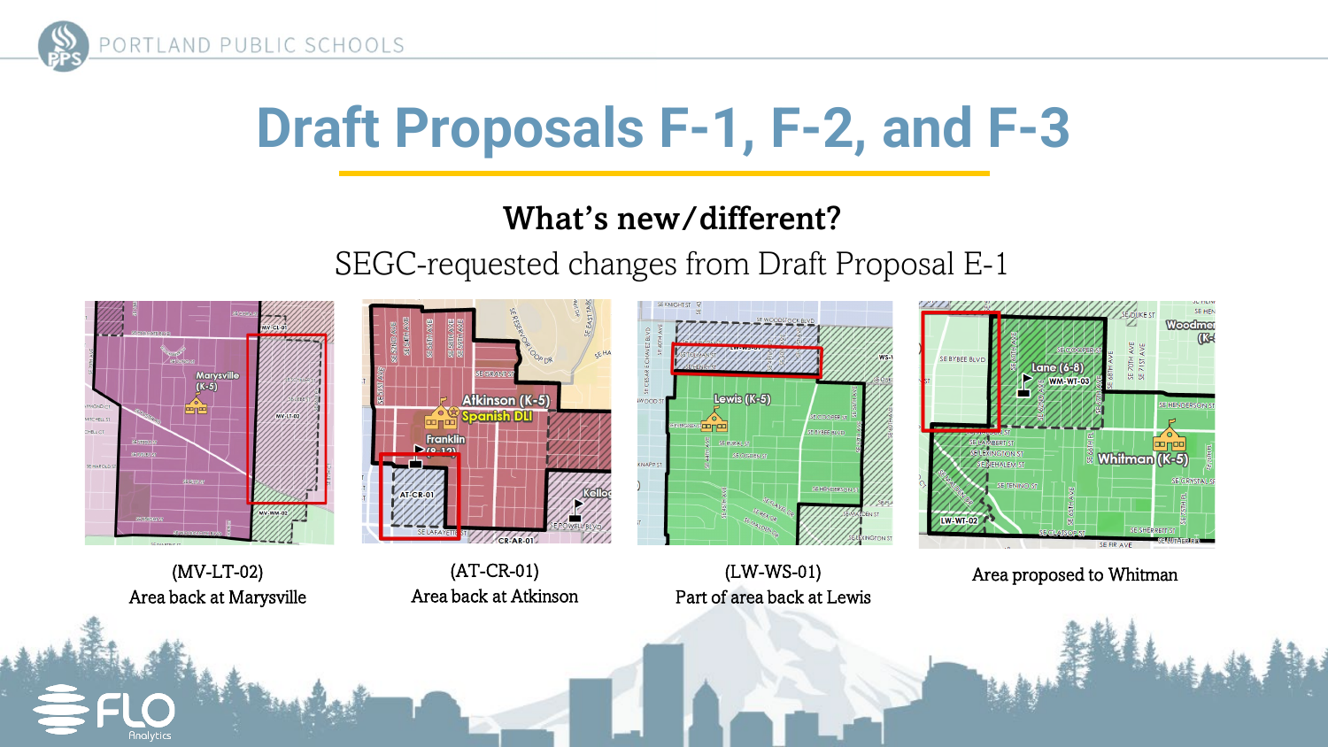

### What's new/different?

SEGC-requested changes from Draft Proposal E-1

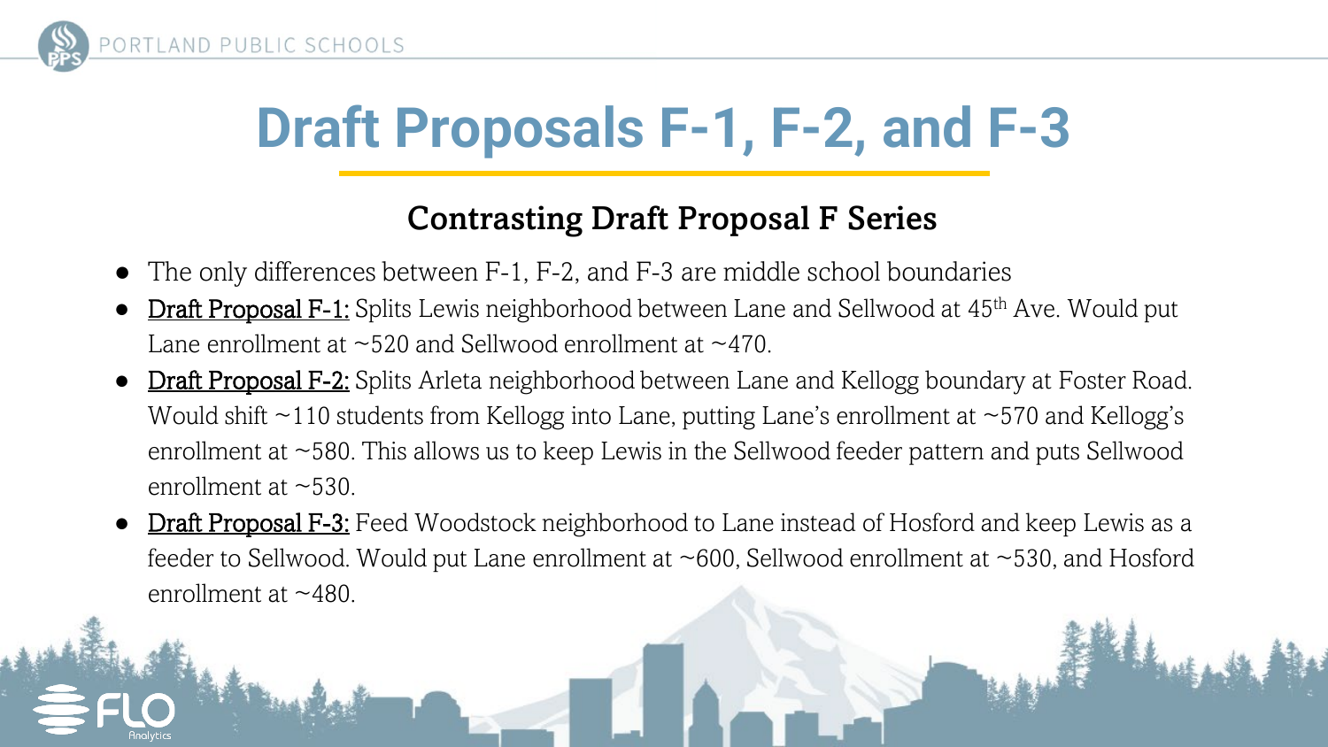

#### Contrasting Draft Proposal F Series

- The only differences between F-1, F-2, and F-3 are middle school boundaries
- **Draft Proposal F-1:** Splits Lewis neighborhood between Lane and Sellwood at 45<sup>th</sup> Ave. Would put Lane enrollment at ~520 and Sellwood enrollment at ~470.
- **Draft Proposal F-2:** Splits Arleta neighborhood between Lane and Kellogg boundary at Foster Road. Would shift  $\sim$ 110 students from Kellogg into Lane, putting Lane's enrollment at  $\sim$ 570 and Kellogg's enrollment at ~580. This allows us to keep Lewis in the Sellwood feeder pattern and puts Sellwood enrollment at  $\sim$ 530.
- **Draft Proposal F-3:** Feed Woodstock neighborhood to Lane instead of Hosford and keep Lewis as a feeder to Sellwood. Would put Lane enrollment at ~600, Sellwood enrollment at ~530, and Hosford enrollment at  $~1480$ .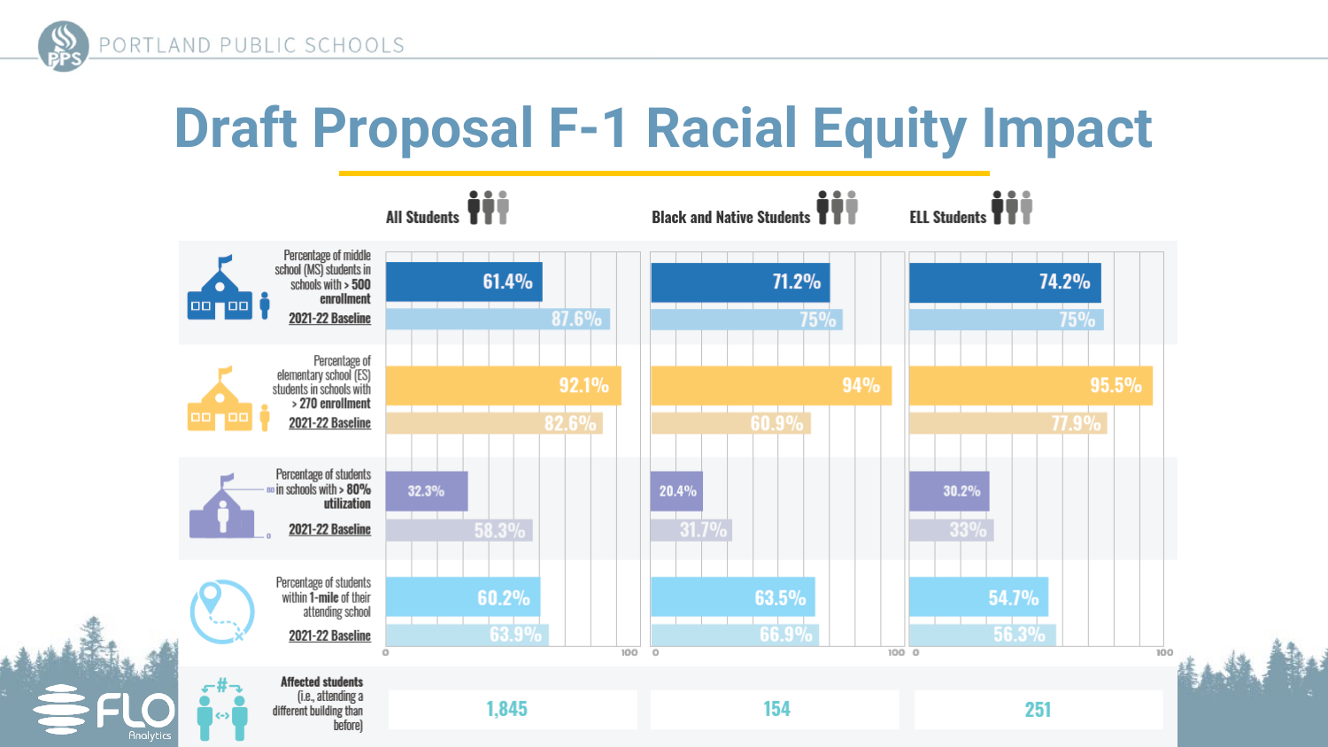

## **Draft Proposal F-1 Racial Equity Impact**

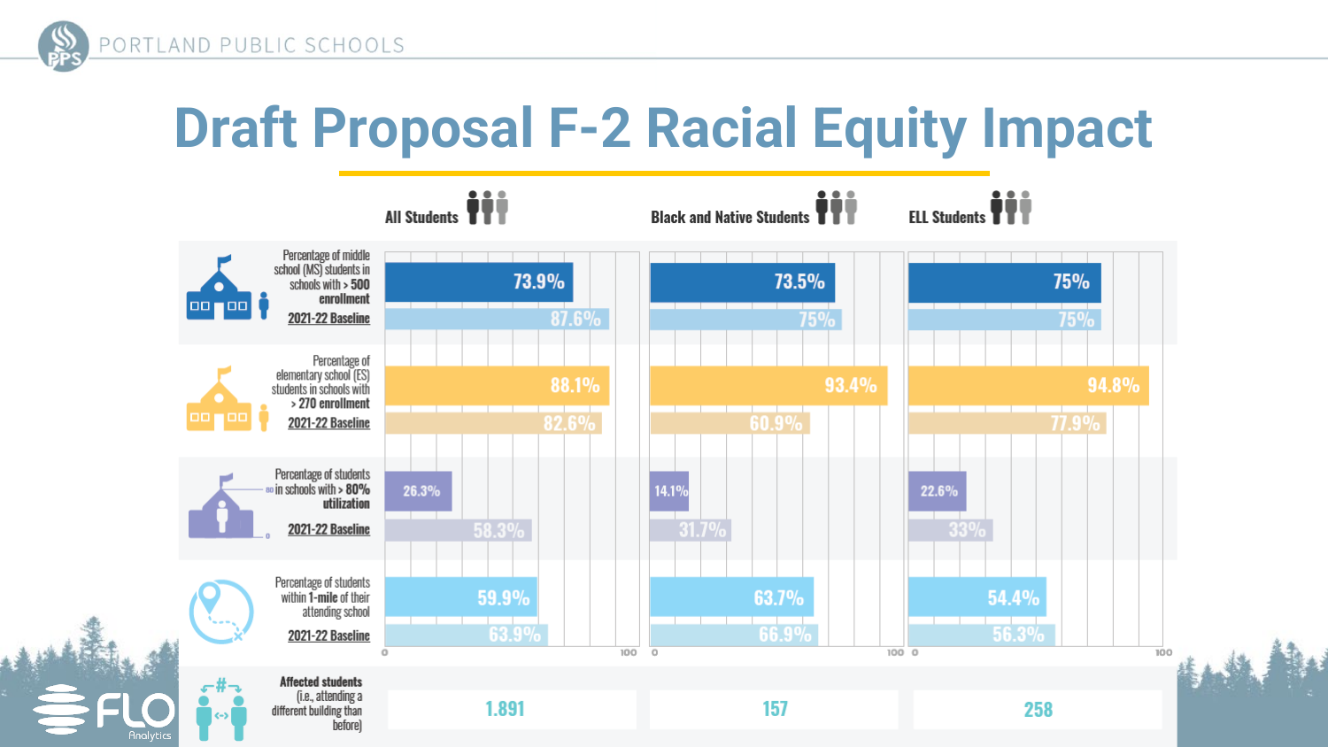

## **Draft Proposal F-2 Racial Equity Impact**